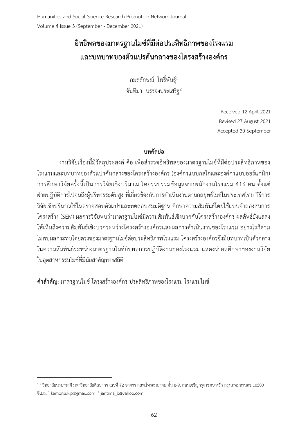# **อิทธิพลของมาตรฐานไมซ์ที่มีต่อประสิทธิภาพของโรงแรม และบทบาทของตัวแปรคั่นกลางของโครงสร้างองค์กร**

กมลลักษณ์ โพธิ์พันธุ์<sup>1</sup> จันทิมา บรรจงประเสริฐ<sup>2</sup>

> Received 12 April 2021 Revised 27 August 2021 Accepted 30 September

## **บทคัดย่อ**

งานวิจัยเรื่องนี้มีวัตถุประสงค์ คือ เพื่อสำรวจอิทธิพลของมาตรฐานไมซ์ที่มีต่อประสิทธิภาพของ โรงแรมและบทบาทของตัวแปรคั่นกลางของโครงสร้างองค์กร (องค์กรแบบกลไกและองค์กรแบบออร์แกนิก) การศึกษาวิจัยครั้งนี้เป็นการวิจัยเชิงปริมาณ โดยรวบรวมข้อมูลจากพนักงานโรงแรม 416 คน ตั้งแต่ ้ฝ่ายปฏิบัติการไปจนถึงผู้บริหารระดับสูง ที่เกี่ยวข้องกับการดำเนินงานตามกลยุทธ์ไมซ์ในประเทศไทย วิธีการ วิจัยเชิงปริมาณใช้ในตรวจสอบตัวแปรและทดสอบสมมติฐาน ศึกษาความสัมพันธ์โดยใช้แบบจำลองสมการ โครงสร้าง (SEM) ผลการวิจัยพบว่ามาตรฐานไมซ์มีความสัมพันธ์เชิงบวกกับโครงสร้างองค์กร ผลลัพธ์ยังแสดง ให้เห็นถึงความสัมพันธ์เชิงบวกระหว่างโครงสร้างองค์กรและผลการดำเนินงานของโรงแรม อย่างไรก็ตาม ไม่พบผลกระทบโดยตรงของมาตรฐานไมซ์ต่อประสิทธิภาพโรงแรม โครงสร้างองค์กรจึงมีบทบาทเป็นตัวกลาง ในความสัมพันธ์ระหว่างมาตรฐานไมซ์กับผลการปฏิบัติงานของโรงแรม แสดงว่าผลศึกษาของงานวิจัย ในอุตสาหกรรมไมซ์ที่มีนัยสำคัญทางสถิติ

**ค าส าคัญ:** มาตรฐานไมซ์ โครงสร้างองค์กร ประสิทธิภาพของโรงแรม โรงแรมไมซ์

-

 $^{\,1\,2}$  วิทยาลัยนานาชาติ มหาวิทยาลัยศิลปากร เลขที่ 72 อาคาร กสท.โทรคมนาคม ชั้น 8-9, ถนนเจริญกรุง เขตบางรัก กรุงเทพมหานคร 10500 อีเมล: <sup>1</sup> kamonluk.p@gmail.com <sup>2</sup> jantima\_b@yahoo.com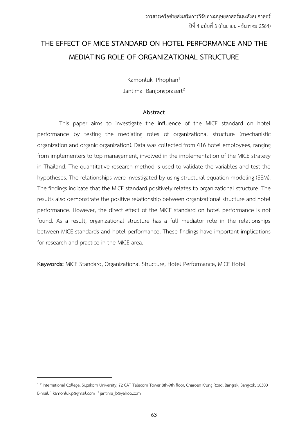## **THE EFFECT OF MICE STANDARD ON HOTEL PERFORMANCE AND THE MEDIATING ROLE OF ORGANIZATIONAL STRUCTURE**

Kamonluk Phophan<sup>1</sup> Jantima Banjongprasert<sup>2</sup>

#### **Abstract**

 This paper aims to investigate the influence of the MICE standard on hotel performance by testing the mediating roles of organizational structure (mechanistic organization and organic organization). Data was collected from 416 hotel employees, ranging from implementers to top management, involved in the implementation of the MICE strategy in Thailand. The quantitative research method is used to validate the variables and test the hypotheses. The relationships were investigated by using structural equation modeling (SEM). The findings indicate that the MICE standard positively relates to organizational structure. The results also demonstrate the positive relationship between organizational structure and hotel performance. However, the direct effect of the MICE standard on hotel performance is not found. As a result, organizational structure has a full mediator role in the relationships between MICE standards and hotel performance. These findings have important implications for research and practice in the MICE area.

**Keywords:** MICE Standard, Organizational Structure, Hotel Performance, MICE Hotel

-

<sup>&</sup>lt;sup>1 2</sup> International College, Silpakorn University, 72 CAT Telecom Tower 8th-9th floor, Charoen Krung Road, Bangrak, Bangkok, 10500 E-mail: <sup>1</sup> kamonluk.p@gmail.com <sup>2</sup> jantima\_b@yahoo.com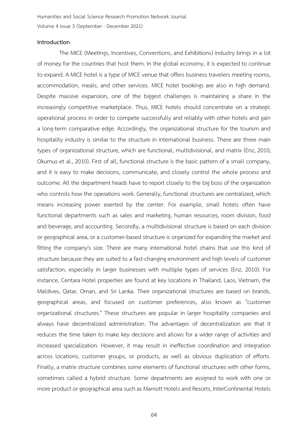#### **Introduction**

 The MICE (Meetings, Incentives, Conventions, and Exhibitions) industry brings in a lot of money for the countries that host them. In the global economy, it is expected to continue to expand. A MICE hotel is a type of MICE venue that offers business travelers meeting rooms, accommodation, meals, and other services. MICE hotel bookings are also in high demand. Despite massive expansion, one of the biggest challenges is maintaining a share in the increasingly competitive marketplace. Thus, MICE hotels should concentrate on a strategic operational process in order to compete successfully and reliably with other hotels and gain a long-term comparative edge. Accordingly, the organizational structure for the tourism and hospitality industry is similar to the structure in international business. There are three main types of organizational structure, which are functional, multidivisional, and matrix (Enz, 2010; Okumus et al., 2010). First of all, functional structure is the basic pattern of a small company, and it is easy to make decisions, communicate, and closely control the whole process and outcome. All the department heads have to report closely to the big boss of the organization who controls how the operations work. Generally, functional structures are centralized, which means increasing power exerted by the center. For example, small hotels often have functional departments such as sales and marketing, human resources, room division, food and beverage, and accounting. Secondly, a multidivisional structure is based on each division or geographical area, or a customer-based structure is organized for expanding the market and fitting the company's size. There are many international hotel chains that use this kind of structure because they are suited to a fast-changing environment and high levels of customer satisfaction, especially in larger businesses with multiple types of services (Enz, 2010). For instance, Centara Hotel properties are found at key locations in Thailand, Laos, Vietnam, the Maldives, Qatar, Oman, and Sri Lanka. Their organizational structures are based on brands, geographical areas, and focused on customer preferences, also known as "customer organizational structures." These structures are popular in larger hospitality companies and always have decentralized administration. The advantages of decentralization are that it reduces the time taken to make key decisions and allows for a wider range of activities and increased specialization. However, it may result in ineffective coordination and integration across locations, customer groups, or products, as well as obvious duplication of efforts. Finally, a matrix structure combines some elements of functional structures with other forms, sometimes called a hybrid structure. Some departments are assigned to work with one or more product or geographical area such as Marriott Hotels and Resorts, InterContinental Hotels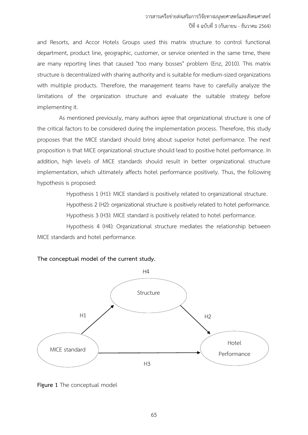and Resorts, and Accor Hotels Groups used this matrix structure to control functional department, product line, geographic, customer, or service oriented in the same time, there are many reporting lines that caused "too many bosses" problem (Enz, 2010). This matrix structure is decentralized with sharing authority and is suitable for medium-sized organizations with multiple products. Therefore, the management teams have to carefully analyze the limitations of the organization structure and evaluate the suitable strategy before implementing it.

 As mentioned previously, many authors agree that organizational structure is one of the critical factors to be considered during the implementation process. Therefore, this study proposes that the MICE standard should bring about superior hotel performance. The next proposition is that MICE organizational structure should lead to positive hotel performance. In addition, high levels of MICE standards should result in better organizational structure implementation, which ultimately affects hotel performance positively. Thus, the following hypothesis is proposed:

> Hypothesis 1 (H1): MICE standard is positively related to organizational structure. Hypothesis 2 (H2): organizational structure is positively related to hotel performance. Hypothesis 3 (H3): MICE standard is positively related to hotel performance.

 Hypothesis 4 (H4): Organizational structure mediates the relationship between MICE standards and hotel performance.



**The conceptual model of the current study.**

**Figure 1** The conceptual model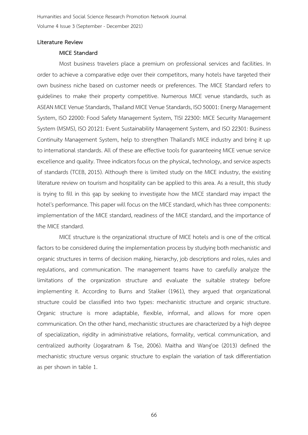#### **Literature Review**

#### **MICE Standard**

 Most business travelers place a premium on professional services and facilities. In order to achieve a comparative edge over their competitors, many hotels have targeted their own business niche based on customer needs or preferences. The MICE Standard refers to guidelines to make their property competitive. Numerous MICE venue standards, such as ASEAN MICE Venue Standards, Thailand MICE Venue Standards, ISO 50001: Energy Management System, ISO 22000: Food Safety Management System, TISI 22300: MICE Security Management System (MSMS), ISO 20121: Event Sustainability Management System, and ISO 22301: Business Continuity Management System, help to strengthen Thailand's MICE industry and bring it up to international standards. All of these are effective tools for guaranteeing MICE venue service excellence and quality. Three indicators focus on the physical, technology, and service aspects of standards (TCEB, 2015). Although there is limited study on the MICE industry, the existing literature review on tourism and hospitality can be applied to this area. As a result, this study is trying to fill in this gap by seeking to investigate how the MICE standard may impact the hotel's performance. This paper will focus on the MICE standard, which has three components: implementation of the MICE standard, readiness of the MICE standard, and the importance of the MICE standard.

 MICE structure is the organizational structure of MICE hotels and is one of the critical factors to be considered during the implementation process by studying both mechanistic and organic structures in terms of decision making, hierarchy, job descriptions and roles, rules and regulations, and communication. The management teams have to carefully analyze the limitations of the organization structure and evaluate the suitable strategy before implementing it. According to Burns and Stalker (1961), they argued that organizational structure could be classified into two types: mechanistic structure and organic structure. Organic structure is more adaptable, flexible, informal, and allows for more open communication. On the other hand, mechanistic structures are characterized by a high degree of specialization, rigidity in administrative relations, formality, vertical communication, and centralized authority (Jogaratnam & Tse, 2006). Maitha and Wang'oe (2013) defined the mechanistic structure versus organic structure to explain the variation of task differentiation as per shown in table 1.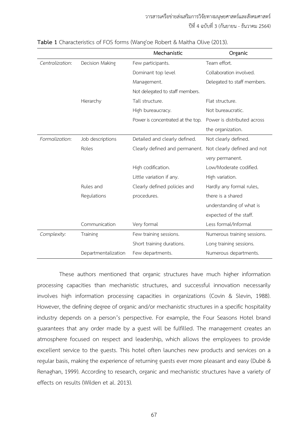|                 |                     | Mechanistic                       | Organic                     |
|-----------------|---------------------|-----------------------------------|-----------------------------|
| Centralization: | Decision Making     | Few participants.                 | Team effort.                |
|                 |                     | Dominant top level                | Collaboration involved.     |
|                 |                     | Management.                       | Delegated to staff members. |
|                 |                     | Not delegated to staff members.   |                             |
|                 | Hierarchy           | Tall structure.                   | Flat structure.             |
|                 |                     | High bureaucracy.                 | Not bureaucratic.           |
|                 |                     | Power is concentrated at the top. | Power is distributed across |
|                 |                     |                                   | the organization.           |
| Formalization:  | Job descriptions    | Detailed and clearly defined.     | Not clearly defined.        |
|                 | Roles               | Clearly defined and permanent.    | Not clearly defined and not |
|                 |                     |                                   | very permanent.             |
|                 |                     | High codification.                | Low/Moderate codified.      |
|                 |                     | Little variation if any.          | High variation.             |
|                 | Rules and           | Clearly defined policies and      | Hardly any formal rules,    |
|                 | Regulations         | procedures.                       | there is a shared           |
|                 |                     |                                   | understanding of what is    |
|                 |                     |                                   | expected of the staff.      |
|                 | Communication       | Very formal                       | Less formal/Informal        |
| Complexity:     | Training            | Few training sessions.            | Numerous training sessions. |
|                 |                     | Short training durations.         | Long training sessions.     |
|                 | Departmentalization | Few departments.                  | Numerous departments.       |

**Table 1** Characteristics of FOS forms (Wang'oe Robert & Maitha Olive (2013).

 These authors mentioned that organic structures have much higher information processing capacities than mechanistic structures, and successful innovation necessarily involves high information processing capacities in organizations (Covin & Slevin, 1988). However, the defining degree of organic and/or mechanistic structures in a specific hospitality industry depends on a person's perspective. For example, the Four Seasons Hotel brand guarantees that any order made by a guest will be fulfilled. The management creates an atmosphere focused on respect and leadership, which allows the employees to provide excellent service to the guests. This hotel often launches new products and services on a regular basis, making the experience of returning guests ever more pleasant and easy (Dubé & Renaghan, 1999). According to research, organic and mechanistic structures have a variety of effects on results (Wilden et al. 2013).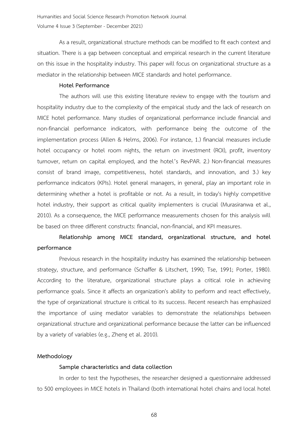As a result, organizational structure methods can be modified to fit each context and situation. There is a gap between conceptual and empirical research in the current literature on this issue in the hospitality industry. This paper will focus on organizational structure as a mediator in the relationship between MICE standards and hotel performance.

#### **Hotel Performance**

 The authors will use this existing literature review to engage with the tourism and hospitality industry due to the complexity of the empirical study and the lack of research on MICE hotel performance. Many studies of organizational performance include financial and non-financial performance indicators, with performance being the outcome of the implementation process (Allen & Helms, 2006). For instance, 1.) financial measures include hotel occupancy or hotel room nights, the return on investment (ROI), profit, inventory turnover, return on capital employed, and the hotel's RevPAR. 2.) Non-financial measures consist of brand image, competitiveness, hotel standards, and innovation, and 3.) key performance indicators (KPIs). Hotel general managers, in general, play an important role in determining whether a hotel is profitable or not. As a result, in today's highly competitive hotel industry, their support as critical quality implementers is crucial (Murasiranwa et al., 2010). As a consequence, the MICE performance measurements chosen for this analysis will be based on three different constructs: financial, non-financial, and KPI measures.

## **Relationship among MICE standard, organizational structure, and hotel performance**

 Previous research in the hospitality industry has examined the relationship between strategy, structure, and performance (Schaffer & Litschert, 1990; Tse, 1991; Porter, 1980). According to the literature, organizational structure plays a critical role in achieving performance goals. Since it affects an organization's ability to perform and react effectively, the type of organizational structure is critical to its success. Recent research has emphasized the importance of using mediator variables to demonstrate the relationships between organizational structure and organizational performance because the latter can be influenced by a variety of variables (e.g., Zheng et al. 2010).

#### **Methodology**

#### **Sample characteristics and data collection**

 In order to test the hypotheses, the researcher designed a questionnaire addressed to 500 employees in MICE hotels in Thailand (both international hotel chains and local hotel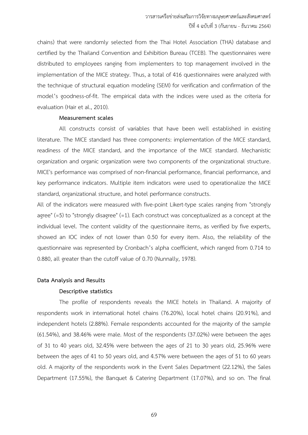chains) that were randomly selected from the Thai Hotel Association (THA) database and certified by the Thailand Convention and Exhibition Bureau (TCEB). The questionnaires were distributed to employees ranging from implementers to top management involved in the implementation of the MICE strategy. Thus, a total of 416 questionnaires were analyzed with the technique of structural equation modeling (SEM) for verification and confirmation of the model's goodness-of-fit. The empirical data with the indices were used as the criteria for evaluation (Hair et al., 2010).

#### **Measurement scales**

 All constructs consist of variables that have been well established in existing literature. The MICE standard has three components: implementation of the MICE standard, readiness of the MICE standard, and the importance of the MICE standard. Mechanistic organization and organic organization were two components of the organizational structure. MICE's performance was comprised of non-financial performance, financial performance, and key performance indicators. Multiple item indicators were used to operationalize the MICE standard, organizational structure, and hotel performance constructs.

All of the indicators were measured with five-point Likert-type scales ranging from "strongly agree" (=5) to "strongly disagree" (=1). Each construct was conceptualized as a concept at the individual level. The content validity of the questionnaire items, as verified by five experts, showed an IOC index of not lower than 0.50 for every item. Also, the reliability of the questionnaire was represented by Cronbach's alpha coefficient, which ranged from 0.714 to 0.880, all greater than the cutoff value of 0.70 (Nunnally, 1978).

#### **Data Analysis and Results**

#### **Descriptive statistics**

 The profile of respondents reveals the MICE hotels in Thailand. A majority of respondents work in international hotel chains (76.20%), local hotel chains (20.91%), and independent hotels (2.88%). Female respondents accounted for the majority of the sample (61.54%), and 38.46% were male. Most of the respondents (37.02%) were between the ages of 31 to 40 years old, 32.45% were between the ages of 21 to 30 years old, 25.96% were between the ages of 41 to 50 years old, and 4.57% were between the ages of 51 to 60 years old. A majority of the respondents work in the Event Sales Department (22.12%), the Sales Department (17.55%), the Banquet & Catering Department (17.07%), and so on. The final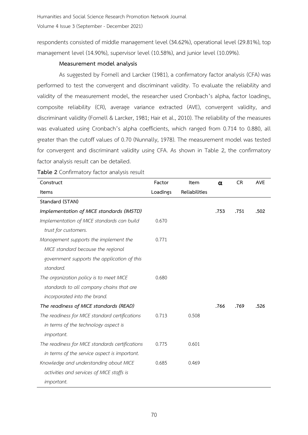respondents consisted of middle management level (34.62%), operational level (29.81%), top management level (14.90%), supervisor level (10.58%), and junior level (10.09%).

#### **Measurement model analysis**

 As suggested by Fornell and Larcker (1981), a confirmatory factor analysis (CFA) was performed to test the convergent and discriminant validity. To evaluate the reliability and validity of the measurement model, the researcher used Cronbach's alpha, factor loadings, composite reliability (CR), average variance extracted (AVE), convergent validity, and discriminant validity (Fornell & Larcker, 1981; Hair et al., 2010). The reliability of the measures was evaluated using Cronbach's alpha coefficients, which ranged from 0.714 to 0.880, all greater than the cutoff values of 0.70 (Nunnally, 1978). The measurement model was tested for convergent and discriminant validity using CFA. As shown in Table 2, the confirmatory factor analysis result can be detailed.

| Construct                                       | Factor   | Item          | $\alpha$ | <b>CR</b> | <b>AVE</b> |
|-------------------------------------------------|----------|---------------|----------|-----------|------------|
| <b>Items</b>                                    | Loadings | Reliabilities |          |           |            |
| Standard (STAN)                                 |          |               |          |           |            |
| Implementation of MICE standards (IMSTD)        |          |               | .753     | .751      | .502       |
| Implementation of MICE standards can build      | 0.670    |               |          |           |            |
| trust for customers.                            |          |               |          |           |            |
| Management supports the implement the           | 0.771    |               |          |           |            |
| MICE standard because the regional              |          |               |          |           |            |
| government supports the application of this     |          |               |          |           |            |
| standard.                                       |          |               |          |           |            |
| The organization policy is to meet MICE         | 0.680    |               |          |           |            |
| standards to all company chains that are        |          |               |          |           |            |
| incorporated into the brand.                    |          |               |          |           |            |
| The readiness of MICE standards (READ)          |          |               | .766     | .769      | .526       |
| The readiness for MICE standard certifications  | 0.713    | 0.508         |          |           |            |
| in terms of the technology aspect is            |          |               |          |           |            |
| important.                                      |          |               |          |           |            |
| The readiness for MICE standards certifications | 0.775    | 0.601         |          |           |            |
| in terms of the service aspect is important.    |          |               |          |           |            |
| Knowledge and understanding about MICE          | 0.685    | 0.469         |          |           |            |
| activities and services of MICE staffs is       |          |               |          |           |            |
| important.                                      |          |               |          |           |            |

**Table 2** Confirmatory factor analysis result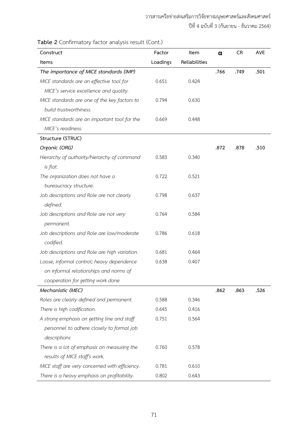## **Table 2** Confirmatory factor analysis result (Cont.)

| Construct                                      | Factor   | Item          | α    | <b>CR</b> | <b>AVE</b> |
|------------------------------------------------|----------|---------------|------|-----------|------------|
| <b>Items</b>                                   | Loadings | Reliabilities |      |           |            |
| The importance of MICE standards (IMP)         |          |               | .766 | .749      | .501       |
| MICE standards are an effective tool for       | 0.651    | 0.424         |      |           |            |
| MICE's service excellence and quality.         |          |               |      |           |            |
| MICE standards are one of the key factors to   | 0.794    | 0.630         |      |           |            |
| build trustworthiness.                         |          |               |      |           |            |
| MICE standards are an important tool for the   | 0.669    | 0.448         |      |           |            |
| MICE's readiness.                              |          |               |      |           |            |
| Structure (STRUC)                              |          |               |      |           |            |
| Organic (ORG)                                  |          |               | .872 | .878      | .510       |
| Hierarchy of authority/hierarchy of command    | 0.583    | 0.340         |      |           |            |
| is flat.                                       |          |               |      |           |            |
| The organization does not have a               | 0.722    | 0.521         |      |           |            |
| bureaucracy structure.                         |          |               |      |           |            |
| Job descriptions and Role are not clearly      | 0.798    | 0.637         |      |           |            |
| defined.                                       |          |               |      |           |            |
| Job descriptions and Role are not very         | 0.764    | 0.584         |      |           |            |
| permanent.                                     |          |               |      |           |            |
| Job descriptions and Role are low/moderate     | 0.786    | 0.618         |      |           |            |
| codified.                                      |          |               |      |           |            |
| Job descriptions and Role are high variation.  | 0.681    | 0.464         |      |           |            |
| Loose, informal control; heavy dependence      | 0.638    | 0.407         |      |           |            |
| on informal relationships and norms of         |          |               |      |           |            |
| cooperation for getting work done              |          |               |      |           |            |
| Mechanistic (MEC)                              |          |               | .862 | .863      | .526       |
| Roles are clearly defined and permanent.       | 0.588    | 0.346         |      |           |            |
| There is high codification.                    | 0.645    | 0.416         |      |           |            |
| A strong emphasis on getting line and staff    | 0.751    | 0.564         |      |           |            |
| personnel to adhere closely to formal job      |          |               |      |           |            |
| descriptions                                   |          |               |      |           |            |
| There is a lot of emphasis on measuring the    | 0.760    | 0.578         |      |           |            |
| results of MICE staff's work.                  |          |               |      |           |            |
| MICE staff are very concerned with efficiency. | 0.781    | 0.610         |      |           |            |
| There is a heavy emphasis on profitability.    | 0.802    | 0.643         |      |           |            |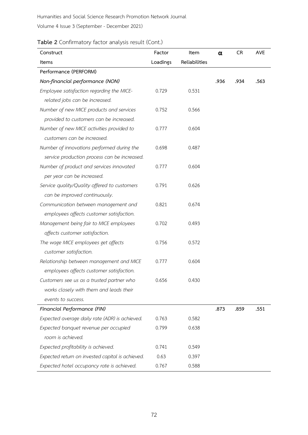## **Table 2** Confirmatory factor analysis result (Cont.)

| Construct                                        | Factor   | Item          | α    | CR   | <b>AVE</b> |
|--------------------------------------------------|----------|---------------|------|------|------------|
| <b>Items</b>                                     | Loadings | Reliabilities |      |      |            |
| Performance (PERFORM)                            |          |               |      |      |            |
| Non-financial performance (NON)                  |          |               | .936 | .934 | .563       |
| Employee satisfaction regarding the MICE-        | 0.729    | 0.531         |      |      |            |
| related jobs can be increased.                   |          |               |      |      |            |
| Number of new MICE products and services         | 0.752    | 0.566         |      |      |            |
| provided to customers can be increased.          |          |               |      |      |            |
| Number of new MICE activities provided to        | 0.777    | 0.604         |      |      |            |
| customers can be increased.                      |          |               |      |      |            |
| Number of innovations performed during the       | 0.698    | 0.487         |      |      |            |
| service production process can be increased.     |          |               |      |      |            |
| Number of product and services innovated         | 0.777    | 0.604         |      |      |            |
| per year can be increased.                       |          |               |      |      |            |
| Service quality/Quality offered to customers     | 0.791    | 0.626         |      |      |            |
| can be improved continuously.                    |          |               |      |      |            |
| Communication between management and             | 0.821    | 0.674         |      |      |            |
| employees affects customer satisfaction.         |          |               |      |      |            |
| Management being fair to MICE employees          | 0.702    | 0.493         |      |      |            |
| affects customer satisfaction.                   |          |               |      |      |            |
| The wage MICE employees get affects              | 0.756    | 0.572         |      |      |            |
| customer satisfaction.                           |          |               |      |      |            |
| Relationship between management and MICE         | 0.777    | 0.604         |      |      |            |
| employees affects customer satisfaction.         |          |               |      |      |            |
| Customers see us as a trusted partner who        | 0.656    | 0.430         |      |      |            |
| works closely with them and leads their          |          |               |      |      |            |
| events to success.                               |          |               |      |      |            |
| Financial Performance (FIN)                      |          |               | .873 | .859 | .551       |
| Expected average daily rate (ADR) is achieved.   | 0.763    | 0.582         |      |      |            |
| Expected banquet revenue per occupied            | 0.799    | 0.638         |      |      |            |
| room is achieved.                                |          |               |      |      |            |
| Expected profitability is achieved.              | 0.741    | 0.549         |      |      |            |
| Expected return on invested capital is achieved. | 0.63     | 0.397         |      |      |            |
| Expected hotel occupancy rate is achieved.       | 0.767    | 0.588         |      |      |            |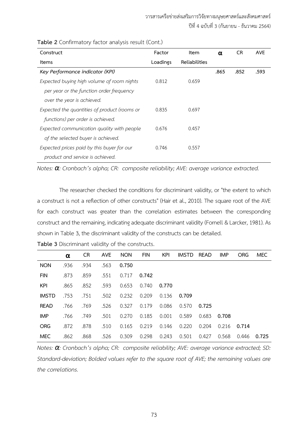| Construct                                    | Factor   | Item          | $\alpha$ | CR.  | <b>AVE</b> |
|----------------------------------------------|----------|---------------|----------|------|------------|
| Items                                        | Loadings | Reliabilities |          |      |            |
| Key Performance indicator (KPI)              |          |               | .865     | .852 | .593       |
| Expected buying high volume of room nights   | 0.812    | 0.659         |          |      |            |
| per year or the function order frequency     |          |               |          |      |            |
| over the year is achieved.                   |          |               |          |      |            |
| Expected the quantities of product (rooms or | 0.835    | 0.697         |          |      |            |
| functions) per order is achieved.            |          |               |          |      |            |
| Expected communication quality with people   | 0.676    | 0.457         |          |      |            |
| of the selected buyer is achieved.           |          |               |          |      |            |
| Expected prices paid by this buyer for our   | 0.746    | 0.557         |          |      |            |
| product and service is achieved.             |          |               |          |      |            |

**Table 2** Confirmatory factor analysis result (Cont.)

*Notes: α: Cronbach's alpha; CR: composite reliability; AVE: average variance extracted.*

 The researcher checked the conditions for discriminant validity, or "the extent to which a construct is not a reflection of other constructs" (Hair et al., 2010). The square root of the AVE for each construct was greater than the correlation estimates between the corresponding construct and the remaining, indicating adequate discriminant validity (Fornell & Larcker, 1981). As shown in Table 3, the discriminant validity of the constructs can be detailed.

|              | α    | CR.  | <b>AVE</b> | <b>NON</b> | <b>FIN</b> | <b>KPI</b> | <b>IMSTD</b> | <b>READ</b> | <b>IMP</b> | <b>ORG</b> | MEC   |
|--------------|------|------|------------|------------|------------|------------|--------------|-------------|------------|------------|-------|
| <b>NON</b>   | .936 | .934 | .563       | 0.750      |            |            |              |             |            |            |       |
| <b>FIN</b>   | .873 | .859 | .551       | 0.717      | 0.742      |            |              |             |            |            |       |
| <b>KPI</b>   | .865 | .852 | .593       | 0.653      | 0.740      | 0.770      |              |             |            |            |       |
| <b>IMSTD</b> | .753 | .751 | .502       | 0.232      | 0.209      | 0.136      | 0.709        |             |            |            |       |
| <b>READ</b>  | .766 | .769 | .526       | 0.327      | 0.179      | 0.086      | 0.570        | 0.725       |            |            |       |
| IMP          | .766 | .749 | .501       | 0.270      | 0.185      | 0.001      | 0.589        | 0.683       | 0.708      |            |       |
| <b>ORG</b>   | .872 | .878 | .510       | 0.165      | 0.219      | 0.146      | 0.220        | 0.204       | 0.216      | 0.714      |       |
| <b>MEC</b>   | .862 | .868 | .526       | 0.309      | 0.298      | 0.243      | 0.501        | 0.427       | 0.568      | 0.446      | 0.725 |

**Table 3** Discriminant validity of the constructs.

*Notes: α: Cronbach's alpha; CR: composite reliability; AVE: average variance extracted; SD: Standard-deviation; Bolded values refer to the square root of AVE; the remaining values are the correlations.*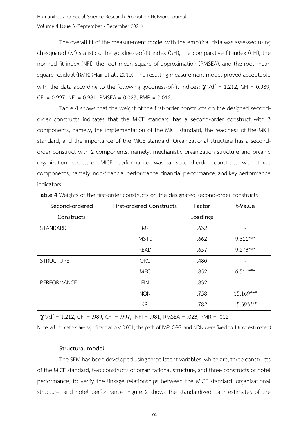The overall fit of the measurement model with the empirical data was assessed using chi-squared (*X 2* ) statistics, the goodness-of-fit index (GFI), the comparative fit index (CFI), the normed fit index (NFI), the root mean square of approximation (RMSEA), and the root mean square residual (RMR) (Hair et al., 2010). The resulting measurement model proved acceptable with the data according to the following goodness-of-fit indices:  $\chi^2$ /df = 1.212, GFI = 0.989,  $CFI = 0.997$ , NFI = 0.981, RMSEA = 0.023, RMR = 0.012.

 Table 4 shows that the weight of the first-order constructs on the designed secondorder constructs indicates that the MICE standard has a second-order construct with 3 components, namely, the implementation of the MICE standard, the readiness of the MICE standard, and the importance of the MICE standard. Organizational structure has a secondorder construct with 2 components, namely, mechanistic organization structure and organic organization structure. MICE performance was a second-order construct with three components, namely, non-financial performance, financial performance, and key performance indicators.

| Second-ordered   | <b>First-ordered Constructs</b> | Factor   | t-Value     |
|------------------|---------------------------------|----------|-------------|
| Constructs       |                                 | Loadings |             |
| <b>STANDARD</b>  | <b>IMP</b>                      | .632     |             |
|                  | <b>IMSTD</b>                    | .662     | $9.311***$  |
|                  | <b>READ</b>                     | .657     | $9.273***$  |
| <b>STRUCTURE</b> | <b>ORG</b>                      | .480     | -           |
|                  | <b>MEC</b>                      | .852     | $6.511***$  |
| PERFORMANCE      | <b>FIN</b>                      | .832     | -           |
|                  | <b>NON</b>                      | .758     | $15.169***$ |
|                  | <b>KPI</b>                      | .782     | 15.393***   |

**Table 4** Weights of the first-order constructs on the designated second-order constructs

 $\chi^2$ /df = 1.212, GFI = .989, CFI = .997, NFI = .981, RMSEA = .023, RMR = .012

Note: all indicators are significant at p < 0.001, the path of IMP, ORG, and NON were fixed to 1 (not estimated)

#### **Structural model**

 The SEM has been developed using three latent variables, which are, three constructs of the MICE standard, two constructs of organizational structure, and three constructs of hotel performance, to verify the linkage relationships between the MICE standard, organizational structure, and hotel performance. Figure 2 shows the standardized path estimates of the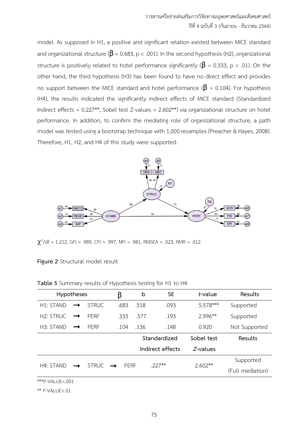model. As supposed in H1, a positive and significant relation existed between MICE standard and organizational structure ( $\beta$  = 0.683, p < .001). In the second hypothesis (H2), organizational structure is positively related to hotel performance significantly ( $\beta$  = 0.333, p < .01). On the other hand, the third hypothesis (H3) has been found to have no direct effect and provides no support between the MICE standard and hotel performance ( $\beta$  = 0.104). For hypothesis (H4), the results indicated the significantly indirect effects of MICE standard (Standardized Indirect effects = 0.227\*\*, Sobel test Z-values = 2.602\*\*) via organizational structure on hotel performance. In addition, to confirm the mediating role of organizational structure, a path model was tested using a bootstrap technique with 1,000 resamples (Preacher & Hayes, 2008). Therefore, H1, H2, and H4 of this study were supported.



 $\chi^2$ /df = 1.212, GFI = .989, CFI = .997, NFI = .981, RMSEA = .023, RMR = .012

**Figure 2** Structural model result

| Hypotheses             |  | β            |  | b    | <b>SE</b> | t-value          | Results    |                  |
|------------------------|--|--------------|--|------|-----------|------------------|------------|------------------|
| H <sub>1</sub> : STAND |  | <b>STRUC</b> |  | .683 | .518      | .093             | $5.578***$ | Supported        |
| H <sub>2</sub> : STRUC |  | PFRF         |  | .333 | .577      | .193             | $2.996**$  | Supported        |
| H <sub>3</sub> : STAND |  | PERF         |  | .104 | .136      | .148             | 0.920      | Not Supported    |
|                        |  |              |  |      |           | Standardized     | Sobel test | Results          |
|                        |  |              |  |      |           | Indirect effects | Z-values   |                  |
| H4:STAND               |  | <b>STRUC</b> |  | PERF |           | $.227**$         | $2.602**$  | Supported        |
|                        |  |              |  |      |           |                  |            | (Full mediation) |

**Table 5** Summary results of Hypothesis testing for H1 to H4

 $P-VALUE<.001$ 

\*\* P-VALUE<.01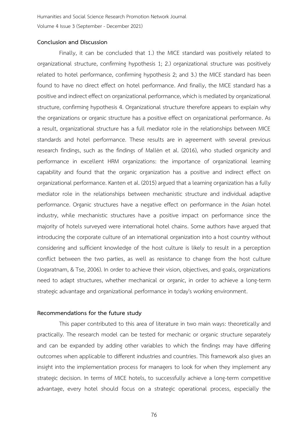#### **Conclusion and Discussion**

 Finally, it can be concluded that 1.) the MICE standard was positively related to organizational structure, confirming hypothesis 1; 2.) organizational structure was positively related to hotel performance, confirming hypothesis 2; and 3.) the MICE standard has been found to have no direct effect on hotel performance. And finally, the MICE standard has a positive and indirect effect on organizational performance, which is mediated by organizational structure, confirming hypothesis 4. Organizational structure therefore appears to explain why the organizations or organic structure has a positive effect on organizational performance. As a result, organizational structure has a full mediator role in the relationships between MICE standards and hotel performance. These results are in agreement with several previous research findings, such as the findings of Mallén et al. (2016), who studied organicity and performance in excellent HRM organizations: the importance of organizational learning capability and found that the organic organization has a positive and indirect effect on organizational performance. Kanten et al. (2015) argued that a learning organization has a fully mediator role in the relationships between mechanistic structure and individual adaptive performance. Organic structures have a negative effect on performance in the Asian hotel industry, while mechanistic structures have a positive impact on performance since the majority of hotels surveyed were international hotel chains. Some authors have argued that introducing the corporate culture of an international organization into a host country without considering and sufficient knowledge of the host culture is likely to result in a perception conflict between the two parties, as well as resistance to change from the host culture (Jogaratnam, & Tse, 2006). In order to achieve their vision, objectives, and goals, organizations need to adapt structures, whether mechanical or organic, in order to achieve a long-term strategic advantage and organizational performance in today's working environment.

#### **Recommendations for the future study**

 This paper contributed to this area of literature in two main ways: theoretically and practically. The research model can be tested for mechanic or organic structure separately and can be expanded by adding other variables to which the findings may have differing outcomes when applicable to different industries and countries. This framework also gives an insight into the implementation process for managers to look for when they implement any strategic decision. In terms of MICE hotels, to successfully achieve a long-term competitive advantage, every hotel should focus on a strategic operational process, especially the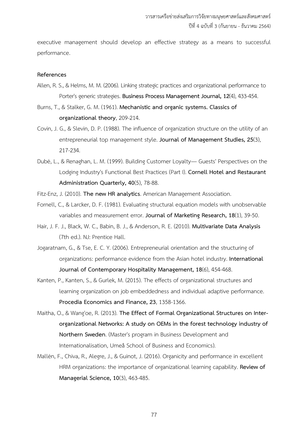executive management should develop an effective strategy as a means to successful performance.

#### **References**

- Allen, R. S., & Helms, M. M. (2006). Linking strategic practices and organizational performance to Porter's generic strategies. **Business Process Management Journal, 12**(4), 433-454.
- Burns, T., & Stalker, G. M. (1961). **Mechanistic and organic systems. Classics of organizational theory**, 209-214.
- Covin, J. G., & Slevin, D. P. (1988). The influence of organization structure on the utility of an entrepreneurial top management style. **Journal of Management Studies, 25**(3), 217-234.
- Dubé, L., & Renaghan, L. M. (1999). Building Customer Loyalty— Guests' Perspectives on the Lodging Industry's Functional Best Practices (Part I). **Cornell Hotel and Restaurant Administration Quarterly, 40**(5), 78-88.
- Fitz-Enz, J. (2010). **The new HR analytics**. American Management Association.
- Fornell, C., & Larcker, D. F. (1981). Evaluating structural equation models with unobservable variables and measurement error. **Journal of Marketing Research, 18**(1), 39-50.
- Hair, J. F. J., Black, W. C., Babin, B. J., & Anderson, R. E. (2010). **Multivariate Data Analysis** (7th ed.). NJ: Prentice Hall.
- Jogaratnam, G., & Tse, E. C. Y. (2006). Entrepreneurial orientation and the structuring of organizations: performance evidence from the Asian hotel industry. **International Journal of Contemporary Hospitality Management, 18**(6), 454-468.
- Kanten, P., Kanten, S., & Gurlek, M. (2015). The effects of organizational structures and learning organization on job embeddedness and individual adaptive performance. **Procedia Economics and Finance, 23**, 1358-1366.
- Maitha, O., & Wang'oe, R. (2013). **The Effect of Formal Organizational Structures on Interorganizational Networks: A study on OEMs in the forest technology industry of Northern Sweden**. (Master's program in Business Development and Internationalisation, Umeå School of Business and Economics).
- Mallén, F., Chiva, R., Alegre, J., & Guinot, J. (2016). Organicity and performance in excellent HRM organizations: the importance of organizational learning capability. **Review of Managerial Science, 10**(3), 463-485.